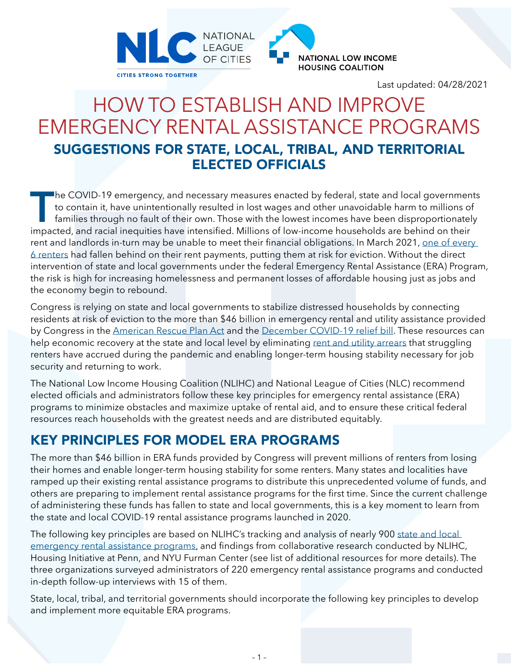



Last updated: 04/28/2021

# HOW TO ESTABLISH AND IMPROVE EMERGENCY RENTAL ASSISTANCE PROGRAMS SUGGESTIONS FOR STATE, LOCAL, TRIBAL, AND TERRITORIAL ELECTED OFFICIALS

The COVID-19 emergency, and necessary measures enacted by federal, state and local governments<br>to contain it, have unintentionally resulted in lost wages and other unavoidable harm to millions of<br>families through no fault to contain it, have unintentionally resulted in lost wages and other unavoidable harm to millions of families through no fault of their own. Those with the lowest incomes have been disproportionately impacted, and racial inequities have intensified. Millions of low-income households are behind on their rent and landlords in-turn may be unable to meet their financial obligations. In March 2021, one of every [6 renters](https://www.census.gov/programs-surveys/household-pulse-survey/data.html) had fallen behind on their rent payments, putting them at risk for eviction. Without the direct intervention of state and local governments under the federal Emergency Rental Assistance (ERA) Program, the risk is high for increasing homelessness and permanent losses of affordable housing just as jobs and the economy begin to rebound.

Congress is relying on state and local governments to stabilize distressed households by connecting residents at risk of eviction to the more than \$46 billion in emergency rental and utility assistance provided by Congress in the [American Rescue Plan Act](https://nlihc.org/sites/default/files/COVID-Relief-Budget_Reconciliation.pdf) and the [December COVID-19 relief bill](https://nlihc.org/sites/default/files/Housing-Provisions-in-Emergency-COVID-19-Relief-Package.pdf). These resources can help economic recovery at the state and local level by eliminating [rent and utility arrears](https://www.moodysanalytics.com/-/media/article/2021/averting-an-eviction-crisis.pdf) that struggling renters have accrued during the pandemic and enabling longer-term housing stability necessary for job security and returning to work.

The National Low Income Housing Coalition (NLIHC) and National League of Cities (NLC) recommend elected officials and administrators follow these key principles for emergency rental assistance (ERA) programs to minimize obstacles and maximize uptake of rental aid, and to ensure these critical federal resources reach households with the greatest needs and are distributed equitably.

#### KEY PRINCIPLES FOR MODEL ERA PROGRAMS

The more than \$46 billion in ERA funds provided by Congress will prevent millions of renters from losing their homes and enable longer-term housing stability for some renters. Many states and localities have ramped up their existing rental assistance programs to distribute this unprecedented volume of funds, and others are preparing to implement rental assistance programs for the first time. Since the current challenge of administering these funds has fallen to state and local governments, this is a key moment to learn from the state and local COVID-19 rental assistance programs launched in 2020.

The following key principles are based on NLIHC's tracking and analysis of nearly 900 [state and local](https://nlihc.org/rental-assistance)  [emergency rental assistance programs,](https://nlihc.org/rental-assistance) and findings from collaborative research conducted by NLIHC, Housing Initiative at Penn, and NYU Furman Center (see list of additional resources for more details). The three organizations surveyed administrators of 220 emergency rental assistance programs and conducted in-depth follow-up interviews with 15 of them.

State, local, tribal, and territorial governments should incorporate the following key principles to develop and implement more equitable ERA programs.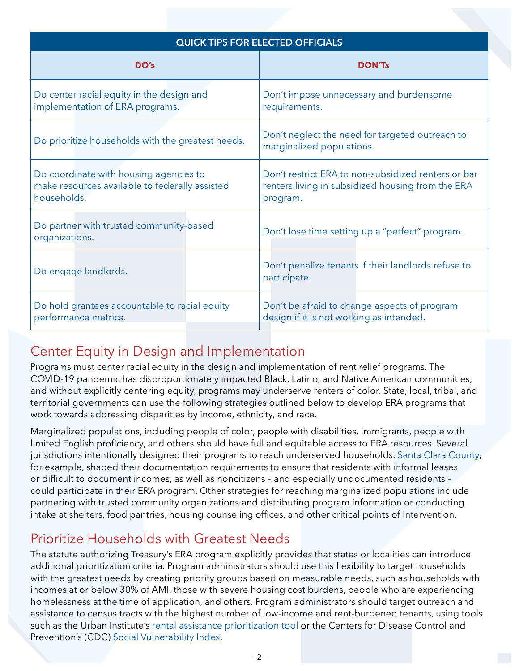| QUICK TIPS FOR ELECTED OFFICIALS                                                                        |                                                                                                                      |  |  |
|---------------------------------------------------------------------------------------------------------|----------------------------------------------------------------------------------------------------------------------|--|--|
| DO's                                                                                                    | <b>DON'Ts</b>                                                                                                        |  |  |
| Do center racial equity in the design and<br>implementation of ERA programs.                            | Don't impose unnecessary and burdensome<br>requirements.                                                             |  |  |
| Do prioritize households with the greatest needs.                                                       | Don't neglect the need for targeted outreach to<br>marginalized populations.                                         |  |  |
| Do coordinate with housing agencies to<br>make resources available to federally assisted<br>households. | Don't restrict ERA to non-subsidized renters or bar<br>renters living in subsidized housing from the ERA<br>program. |  |  |
| Do partner with trusted community-based<br>organizations.                                               | Don't lose time setting up a "perfect" program.                                                                      |  |  |
| Do engage landlords.                                                                                    | Don't penalize tenants if their landlords refuse to<br>participate.                                                  |  |  |
| Do hold grantees accountable to racial equity<br>performance metrics.                                   | Don't be afraid to change aspects of program<br>design if it is not working as intended.                             |  |  |

### Center Equity in Design and Implementation

Programs must center racial equity in the design and implementation of rent relief programs. The COVID-19 pandemic has disproportionately impacted Black, Latino, and Native American communities, and without explicitly centering equity, programs may underserve renters of color. State, local, tribal, and territorial governments can use the following strategies outlined below to develop ERA programs that work towards addressing disparities by income, ethnicity, and race.

Marginalized populations, including people of color, people with disabilities, immigrants, people with limited English proficiency, and others should have full and equitable access to ERA resources. Several jurisdictions intentionally designed their programs to reach underserved households. [Santa Clara County](https://nlihc.org/sites/default/files/Santa-Clara_Emergency-Rental-Assistance-Case-Study..pdf), for example, shaped their documentation requirements to ensure that residents with informal leases or difficult to document incomes, as well as noncitizens – and especially undocumented residents – could participate in their ERA program. Other strategies for reaching marginalized populations include partnering with trusted community organizations and distributing program information or conducting intake at shelters, food pantries, housing counseling offices, and other critical points of intervention.

## Prioritize Households with Greatest Needs

The statute authorizing Treasury's ERA program explicitly provides that states or localities can introduce additional prioritization criteria. Program administrators should use this flexibility to target households with the greatest needs by creating priority groups based on measurable needs, such as households with incomes at or below 30% of AMI, those with severe housing cost burdens, people who are experiencing homelessness at the time of application, and others. Program administrators should target outreach and assistance to census tracts with the highest number of low-income and rent-burdened tenants, using tools such as the Urban Institute's [rental assistance prioritization tool](https://www.urban.org/features/where-prioritize-emergency-rental-assistance-keep-renters-their-homes) or the Centers for Disease Control and Prevention's (CDC) [Social Vulnerability Index](https://www.atsdr.cdc.gov/placeandhealth/svi/index.html).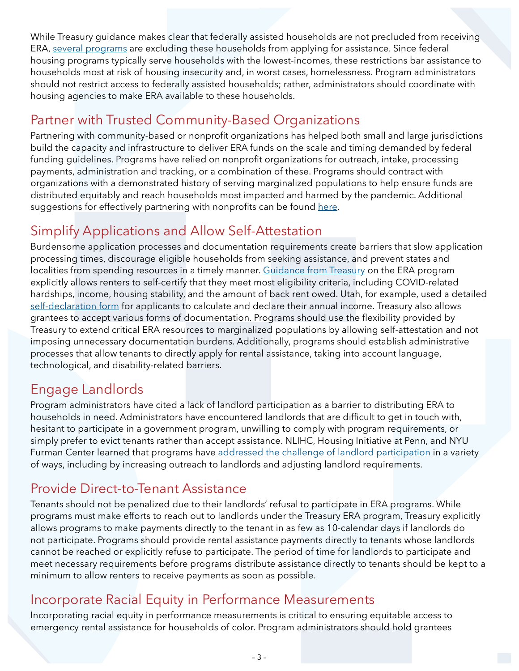While Treasury guidance makes clear that federally assisted households are not precluded from receiving ERA, [several programs](https://nlihc.org/sites/default/files/NLIHC-Letter-on-ERA-Programs-FAQ_03312021.pdf) are excluding these households from applying for assistance. Since federal housing programs typically serve households with the lowest-incomes, these restrictions bar assistance to households most at risk of housing insecurity and, in worst cases, homelessness. Program administrators should not restrict access to federally assisted households; rather, administrators should coordinate with housing agencies to make ERA available to these households.

## Partner with Trusted Community-Based Organizations

Partnering with community-based or nonprofit organizations has helped both small and large jurisdictions build the capacity and infrastructure to deliver ERA funds on the scale and timing demanded by federal funding guidelines. Programs have relied on nonprofit organizations for outreach, intake, processing payments, administration and tracking, or a combination of these. Programs should contract with organizations with a demonstrated history of serving marginalized populations to help ensure funds are distributed equitably and reach households most impacted and harmed by the pandemic. Additional suggestions for effectively partnering with nonprofits can be found [here](https://nlihc.org/sites/default/files/ERA-Programs-Case-Study.pdf).

## Simplify Applications and Allow Self-Attestation

Burdensome application processes and documentation requirements create barriers that slow application processing times, discourage eligible households from seeking assistance, and prevent states and localities from spending resources in a timely manner. [Guidance from Treasury](https://home.treasury.gov/system/files/136/ERA-Frequently-Asked-Questions_Pub-3-16-21.pdf) on the ERA program explicitly allows renters to self-certify that they meet most eligibility criteria, including COVID-related hardships, income, housing stability, and the amount of back rent owed. Utah, for example, used a detailed [self-declaration form](https://rentrelief.utah.gov/wp-content/uploads/2020/09/Self-Declaration-of-Income-Form.pdf) for applicants to calculate and declare their annual income. Treasury also allows grantees to accept various forms of documentation. Programs should use the flexibility provided by Treasury to extend critical ERA resources to marginalized populations by allowing self-attestation and not imposing unnecessary documentation burdens. Additionally, programs should establish administrative processes that allow tenants to directly apply for rental assistance, taking into account language, technological, and disability-related barriers.

## Engage Landlords

Program administrators have cited a lack of landlord participation as a barrier to distributing ERA to households in need. Administrators have encountered landlords that are difficult to get in touch with, hesitant to participate in a government program, unwilling to comply with program requirements, or simply prefer to evict tenants rather than accept assistance. NLIHC, Housing Initiative at Penn, and NYU Furman Center learned that programs have [addressed the challenge of landlord participation](https://nlihc.org/sites/default/files/ERA-Programs-Case-Study.pdf) in a variety of ways, including by increasing outreach to landlords and adjusting landlord requirements.

### Provide Direct-to-Tenant Assistance

Tenants should not be penalized due to their landlords' refusal to participate in ERA programs. While programs must make efforts to reach out to landlords under the Treasury ERA program, Treasury explicitly allows programs to make payments directly to the tenant in as few as 10-calendar days if landlords do not participate. Programs should provide rental assistance payments directly to tenants whose landlords cannot be reached or explicitly refuse to participate. The period of time for landlords to participate and meet necessary requirements before programs distribute assistance directly to tenants should be kept to a minimum to allow renters to receive payments as soon as possible.

#### Incorporate Racial Equity in Performance Measurements

Incorporating racial equity in performance measurements is critical to ensuring equitable access to emergency rental assistance for households of color. Program administrators should hold grantees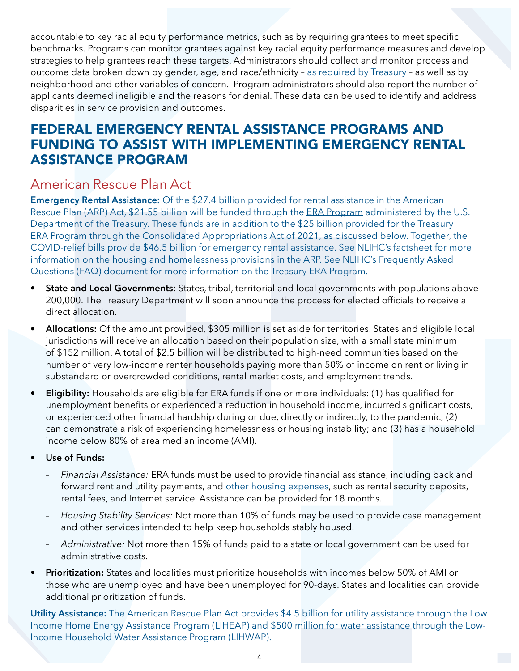accountable to key racial equity performance metrics, such as by requiring grantees to meet specific benchmarks. Programs can monitor grantees against key racial equity performance measures and develop strategies to help grantees reach these targets. Administrators should collect and monitor process and outcome data broken down by gender, age, and race/ethnicity – [as required by Treasury](https://home.treasury.gov/system/files/136/ERA-Frequently-Asked-Questions_Pub-2-22-21.pdf) – as well as by neighborhood and other variables of concern. Program administrators should also report the number of applicants deemed ineligible and the reasons for denial. These data can be used to identify and address disparities in service provision and outcomes.

#### FEDERAL EMERGENCY RENTAL ASSISTANCE PROGRAMS AND FUNDING TO ASSIST WITH IMPLEMENTING EMERGENCY RENTAL ASSISTANCE PROGRAM

#### American Rescue Plan Act

**Emergency Rental Assistance:** Of the \$27.4 billion provided for rental assistance in the American Rescue Plan (ARP) Act, \$21.55 billion will be funded through the [ERA Program](https://home.treasury.gov/policy-issues/cares/emergency-rental-assistance-program) administered by the U.S. Department of the Treasury. These funds are in addition to the \$25 billion provided for the Treasury ERA Program through the Consolidated Appropriations Act of 2021, as discussed below. Together, the COVID-relief bills provide \$46.5 billion for emergency rental assistance. See [NLIHC's factsheet](https://nlihc.org/sites/default/files/COVID-Relief-Budget_Reconciliation.pdf) for more information on the housing and homelessness provisions in the ARP. See NLIHC's Frequently Asked [Questions \(FAQ\) document](https://nlihc.org/sites/default/files/FAQs_Emergency-Rental-Assistance.pdf) for more information on the Treasury ERA Program.

- **• State and Local Governments:** States, tribal, territorial and local governments with populations above 200,000. The Treasury Department will soon announce the process for elected officials to receive a direct allocation.
- **• Allocations:** Of the amount provided, \$305 million is set aside for territories. States and eligible local jurisdictions will receive an allocation based on their population size, with a small state minimum of \$152 million. A total of \$2.5 billion will be distributed to high-need communities based on the number of very low-income renter households paying more than 50% of income on rent or living in substandard or overcrowded conditions, rental market costs, and employment trends.
- **• Eligibility:** Households are eligible for ERA funds if one or more individuals: (1) has qualified for unemployment benefits or experienced a reduction in household income, incurred significant costs, or experienced other financial hardship during or due, directly or indirectly, to the pandemic; (2) can demonstrate a risk of experiencing homelessness or housing instability; and (3) has a household income below 80% of area median income (AMI).
- **• Use of Funds:**
	- *Financial Assistance:* ERA funds must be used to provide financial assistance, including back and forward rent and utility payments, and [other housing expenses,](https://home.treasury.gov/system/files/136/ERA-Frequently-Asked-Questions_Pub-3-16-21.pdf) such as rental security deposits, rental fees, and Internet service. Assistance can be provided for 18 months.
	- *Housing Stability Services:* Not more than 10% of funds may be used to provide case management and other services intended to help keep households stably housed.
	- *Administrative:* Not more than 15% of funds paid to a state or local government can be used for administrative costs.
- **• Prioritization:** States and localities must prioritize households with incomes below 50% of AMI or those who are unemployed and have been unemployed for 90-days. States and localities can provide additional prioritization of funds.

**Utility Assistance:** The American Rescue Plan Act provides [\\$4.5 billion](https://www.congress.gov/bill/117th-congress/house-bill/1319/text#toc-H498D5C8D0DE745668A67642F5276216E) for utility assistance through the Low Income Home Energy Assistance Program (LIHEAP) and [\\$500 million](https://www.acf.hhs.gov/ocs/law-regulation/lihwap-laws-and-regulations) for water assistance through the Low-Income Household Water Assistance Program (LIHWAP).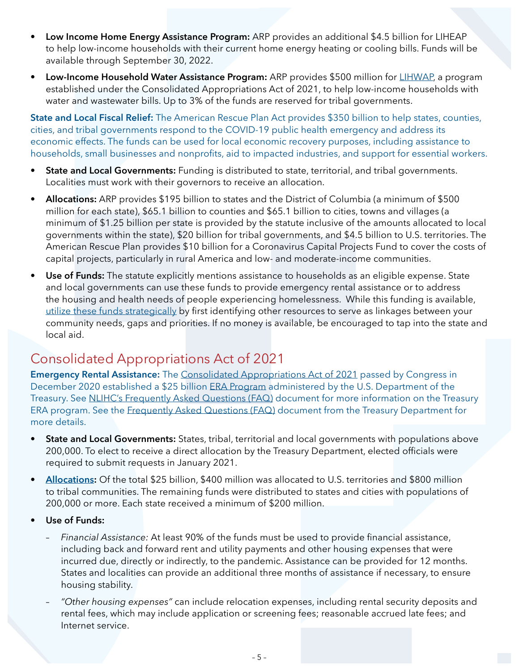- **• Low Income Home Energy Assistance Program:** ARP provides an additional \$4.5 billion for LIHEAP to help low-income households with their current home energy heating or cooling bills. Funds will be available through September 30, 2022.
- **• Low-Income Household Water Assistance Program:** ARP provides \$500 million for [LIHWAP](https://www.acf.hhs.gov/ocs/programs/lihwap), a program established under the Consolidated Appropriations Act of 2021, to help low-income households with water and wastewater bills. Up to 3% of the funds are reserved for tribal governments.

**State and Local Fiscal Relief:** The American Rescue Plan Act provides \$350 billion to help states, counties, cities, and tribal governments respond to the COVID-19 public health emergency and address its economic effects. The funds can be used for local economic recovery purposes, including assistance to households, small businesses and nonprofits, aid to impacted industries, and support for essential workers.

- **• State and Local Governments:** Funding is distributed to state, territorial, and tribal governments. Localities must work with their governors to receive an allocation.
- **• Allocations:** ARP provides \$195 billion to states and the District of Columbia (a minimum of \$500 million for each state), \$65.1 billion to counties and \$65.1 billion to cities, towns and villages (a minimum of \$1.25 billion per state is provided by the statute inclusive of the amounts allocated to local governments within the state), \$20 billion for tribal governments, and \$4.5 billion to U.S. territories. The American Rescue Plan provides \$10 billion for a Coronavirus Capital Projects Fund to cover the costs of capital projects, particularly in rural America and low- and moderate-income communities.
- **• Use of Funds:** The statute explicitly mentions assistance to households as an eligible expense. State and local governments can use these funds to provide emergency rental assistance or to address the housing and health needs of people experiencing homelessness. While this funding is available, [utilize these funds strategically](https://www.nlc.org/article/2021/04/05/local-recovery-five-principles-for-arp-implementation/) by first identifying other resources to serve as linkages between your community needs, gaps and priorities. If no money is available, be encouraged to tap into the state and local aid.

### Consolidated Appropriations Act of 2021

**Emergency Rental Assistance:** The [Consolidated Appropriations Act of 2021](https://www.congress.gov/116/bills/hr133/BILLS-116hr133enr.pdf) passed by Congress in December 2020 established a \$25 billion [ERA Program](https://home.treasury.gov/policy-issues/cares/emergency-rental-assistance-program) administered by the U.S. Department of the Treasury. See [NLIHC's Frequently Asked Questions \(FAQ\)](https://nlihc.org/sites/default/files/FAQs_Emergency-Rental-Assistance.pdf) document for more information on the Treasury ERA program. See the [Frequently Asked Questions \(FAQ\)](https://home.treasury.gov/system/files/136/ERA-Frequently-Asked-Questions_Pub-3-16-21.pdf) document from the Treasury Department for more details.

- **• State and Local Governments:** States, tribal, territorial and local governments with populations above 200,000. To elect to receive a direct allocation by the Treasury Department, elected officials were required to submit requests in January 2021.
- **[Allocations:](https://home.treasury.gov/system/files/136/Emergency-Rental-Assistance-Data-and-Methodology-1-11-21.pdf)** Of the total \$25 billion, \$400 million was allocated to U.S. territories and \$800 million to tribal communities. The remaining funds were distributed to states and cities with populations of 200,000 or more. Each state received a minimum of \$200 million.
- **• Use of Funds:** 
	- *Financial Assistance:* At least 90% of the funds must be used to provide financial assistance, including back and forward rent and utility payments and other housing expenses that were incurred due, directly or indirectly, to the pandemic. Assistance can be provided for 12 months. States and localities can provide an additional three months of assistance if necessary, to ensure housing stability.
	- *"Other housing expenses"* can include relocation expenses, including rental security deposits and rental fees, which may include application or screening fees; reasonable accrued late fees; and Internet service.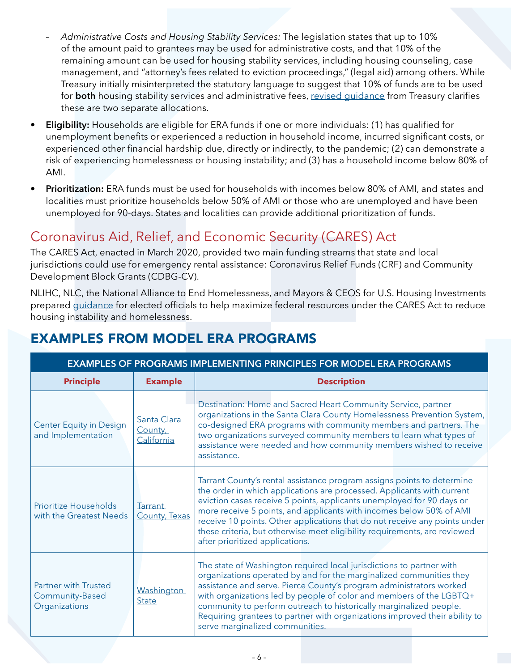- *Administrative Costs and Housing Stability Services:* The legislation states that up to 10% of the amount paid to grantees may be used for administrative costs, and that 10% of the remaining amount can be used for housing stability services, including housing counseling, case management, and "attorney's fees related to eviction proceedings," (legal aid) among others. While Treasury initially misinterpreted the statutory language to suggest that 10% of funds are to be used for **both** housing stability services and administrative fees, [revised guidance](https://home.treasury.gov/system/files/136/ERA-Frequently-Asked-Questions_Pub-3-16-21.pdf) from Treasury clarifies these are two separate allocations.
- **• Eligibility:** Households are eligible for ERA funds if one or more individuals: (1) has qualified for unemployment benefits or experienced a reduction in household income, incurred significant costs, or experienced other financial hardship due, directly or indirectly, to the pandemic; (2) can demonstrate a risk of experiencing homelessness or housing instability; and (3) has a household income below 80% of AMI.
- **• Prioritization:** ERA funds must be used for households with incomes below 80% of AMI, and states and localities must prioritize households below 50% of AMI or those who are unemployed and have been unemployed for 90-days. States and localities can provide additional prioritization of funds.

## Coronavirus Aid, Relief, and Economic Security (CARES) Act

The CARES Act, enacted in March 2020, provided two main funding streams that state and local jurisdictions could use for emergency rental assistance: Coronavirus Relief Funds (CRF) and Community Development Block Grants (CDBG-CV).

NLIHC, NLC, the National Alliance to End Homelessness, and Mayors & CEOS for U.S. Housing Investments prepared [guidance](https://nlihc.org/sites/default/files/Housing-Instability-and-Homelessness_Cares-Act.pdf) for elected officials to help maximize federal resources under the CARES Act to reduce housing instability and homelessness.

| <b>EXAMPLES OF PROGRAMS IMPLEMENTING PRINCIPLES FOR MODEL ERA PROGRAMS</b> |                                      |                                                                                                                                                                                                                                                                                                                                                                                                                                                                                                |  |
|----------------------------------------------------------------------------|--------------------------------------|------------------------------------------------------------------------------------------------------------------------------------------------------------------------------------------------------------------------------------------------------------------------------------------------------------------------------------------------------------------------------------------------------------------------------------------------------------------------------------------------|--|
| <b>Principle</b>                                                           | <b>Example</b>                       | <b>Description</b>                                                                                                                                                                                                                                                                                                                                                                                                                                                                             |  |
| <b>Center Equity in Design</b><br>and Implementation                       | Santa Clara<br>County,<br>California | Destination: Home and Sacred Heart Community Service, partner<br>organizations in the Santa Clara County Homelessness Prevention System,<br>co-designed ERA programs with community members and partners. The<br>two organizations surveyed community members to learn what types of<br>assistance were needed and how community members wished to receive<br>assistance.                                                                                                                      |  |
| <b>Prioritize Households</b><br>with the Greatest Needs                    | <b>Tarrant</b><br>County, Texas      | Tarrant County's rental assistance program assigns points to determine<br>the order in which applications are processed. Applicants with current<br>eviction cases receive 5 points, applicants unemployed for 90 days or<br>more receive 5 points, and applicants with incomes below 50% of AMI<br>receive 10 points. Other applications that do not receive any points under<br>these criteria, but otherwise meet eligibility requirements, are reviewed<br>after prioritized applications. |  |
| <b>Partner with Trusted</b><br>Community-Based<br>Organizations            | Washington<br><b>State</b>           | The state of Washington required local jurisdictions to partner with<br>organizations operated by and for the marginalized communities they<br>assistance and serve. Pierce County's program administrators worked<br>with organizations led by people of color and members of the LGBTQ+<br>community to perform outreach to historically marginalized people.<br>Requiring grantees to partner with organizations improved their ability to<br>serve marginalized communities.               |  |

## EXAMPLES FROM MODEL ERA PROGRAMS